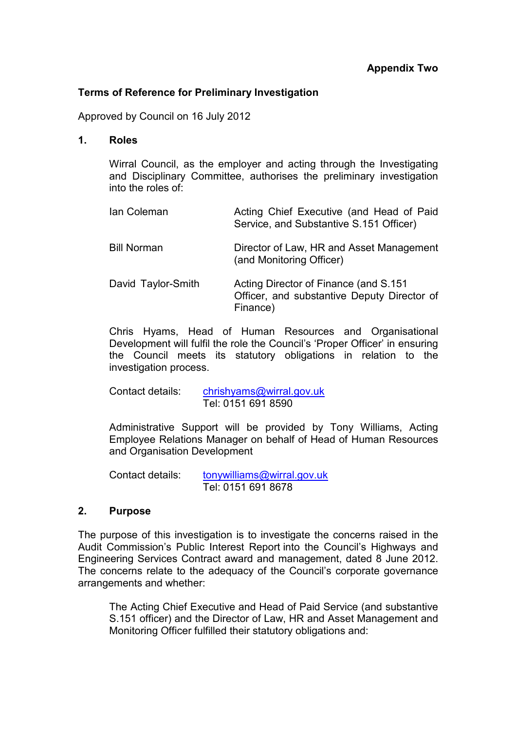### **Terms of Reference for Preliminary Investigation**

Approved by Council on 16 July 2012

**1. Roles** 

Wirral Council, as the employer and acting through the Investigating and Disciplinary Committee, authorises the preliminary investigation into the roles of:

| Ian Coleman        | Acting Chief Executive (and Head of Paid<br>Service, and Substantive S.151 Officer)               |
|--------------------|---------------------------------------------------------------------------------------------------|
| <b>Bill Norman</b> | Director of Law, HR and Asset Management<br>(and Monitoring Officer)                              |
| David Taylor-Smith | Acting Director of Finance (and S.151)<br>Officer, and substantive Deputy Director of<br>Finance) |

Chris Hyams, Head of Human Resources and Organisational Development will fulfil the role the Council's 'Proper Officer' in ensuring the Council meets its statutory obligations in relation to the investigation process.

 Contact details: chrishyams@wirral.gov.uk Tel: 0151 691 8590

Administrative Support will be provided by Tony Williams, Acting Employee Relations Manager on behalf of Head of Human Resources and Organisation Development

 Contact details: tonywilliams@wirral.gov.uk Tel: 0151 691 8678

## **2. Purpose**

The purpose of this investigation is to investigate the concerns raised in the Audit Commission's Public Interest Report into the Council's Highways and Engineering Services Contract award and management, dated 8 June 2012. The concerns relate to the adequacy of the Council's corporate governance arrangements and whether:

The Acting Chief Executive and Head of Paid Service (and substantive S.151 officer) and the Director of Law, HR and Asset Management and Monitoring Officer fulfilled their statutory obligations and: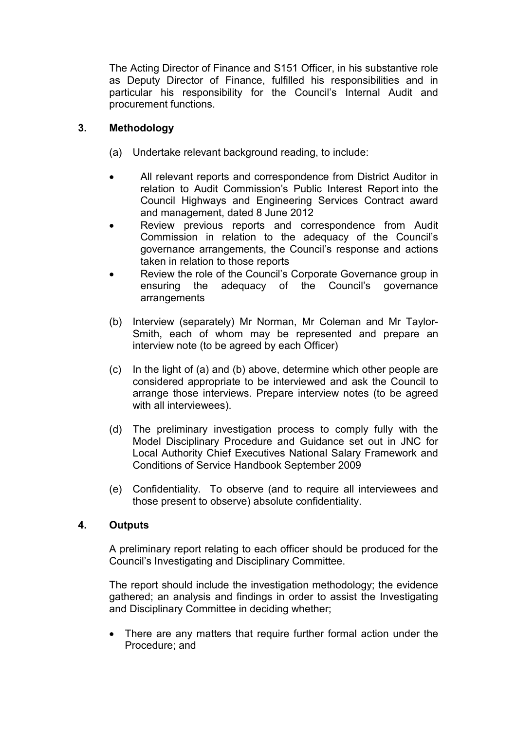The Acting Director of Finance and S151 Officer, in his substantive role as Deputy Director of Finance, fulfilled his responsibilities and in particular his responsibility for the Council's Internal Audit and procurement functions.

# **3. Methodology**

- (a) Undertake relevant background reading, to include:
- All relevant reports and correspondence from District Auditor in relation to Audit Commission's Public Interest Report into the Council Highways and Engineering Services Contract award and management, dated 8 June 2012
- Review previous reports and correspondence from Audit Commission in relation to the adequacy of the Council's governance arrangements, the Council's response and actions taken in relation to those reports
- Review the role of the Council's Corporate Governance group in ensuring the adequacy of the Council's governance arrangements
- (b) Interview (separately) Mr Norman, Mr Coleman and Mr Taylor-Smith, each of whom may be represented and prepare an interview note (to be agreed by each Officer)
- (c) In the light of (a) and (b) above, determine which other people are considered appropriate to be interviewed and ask the Council to arrange those interviews. Prepare interview notes (to be agreed with all interviewees).
- (d) The preliminary investigation process to comply fully with the Model Disciplinary Procedure and Guidance set out in JNC for Local Authority Chief Executives National Salary Framework and Conditions of Service Handbook September 2009
- (e) Confidentiality. To observe (and to require all interviewees and those present to observe) absolute confidentiality.

# **4. Outputs**

A preliminary report relating to each officer should be produced for the Council's Investigating and Disciplinary Committee.

The report should include the investigation methodology; the evidence gathered; an analysis and findings in order to assist the Investigating and Disciplinary Committee in deciding whether;

• There are any matters that require further formal action under the Procedure; and